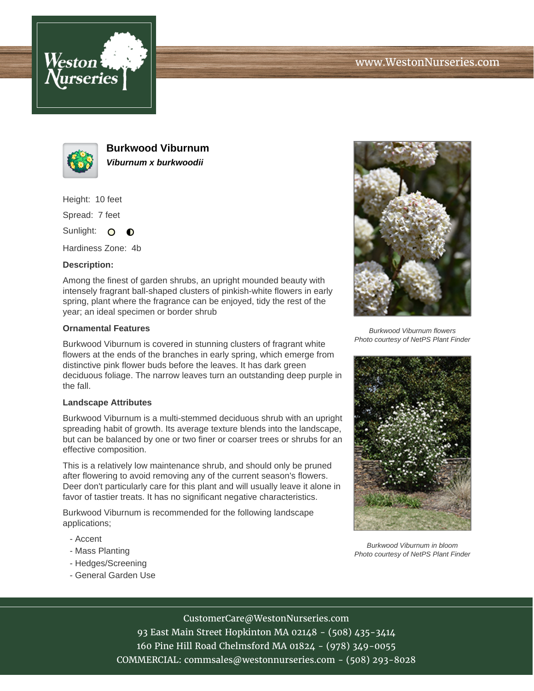



**Burkwood Viburnum Viburnum x burkwoodii**

Height: 10 feet

Spread: 7 feet

Sunlight: O  $\bullet$ 

Hardiness Zone: 4b

### **Description:**

Among the finest of garden shrubs, an upright mounded beauty with intensely fragrant ball-shaped clusters of pinkish-white flowers in early spring, plant where the fragrance can be enjoyed, tidy the rest of the year; an ideal specimen or border shrub

### **Ornamental Features**

Burkwood Viburnum is covered in stunning clusters of fragrant white flowers at the ends of the branches in early spring, which emerge from distinctive pink flower buds before the leaves. It has dark green deciduous foliage. The narrow leaves turn an outstanding deep purple in the fall.

### **Landscape Attributes**

Burkwood Viburnum is a multi-stemmed deciduous shrub with an upright spreading habit of growth. Its average texture blends into the landscape, but can be balanced by one or two finer or coarser trees or shrubs for an effective composition.

This is a relatively low maintenance shrub, and should only be pruned after flowering to avoid removing any of the current season's flowers. Deer don't particularly care for this plant and will usually leave it alone in favor of tastier treats. It has no significant negative characteristics.

Burkwood Viburnum is recommended for the following landscape applications;

- Accent
- Mass Planting
- Hedges/Screening
- General Garden Use



Burkwood Viburnum flowers Photo courtesy of NetPS Plant Finder



Burkwood Viburnum in bloom Photo courtesy of NetPS Plant Finder

# CustomerCare@WestonNurseries.com

93 East Main Street Hopkinton MA 02148 - (508) 435-3414 160 Pine Hill Road Chelmsford MA 01824 - (978) 349-0055 COMMERCIAL: commsales@westonnurseries.com - (508) 293-8028